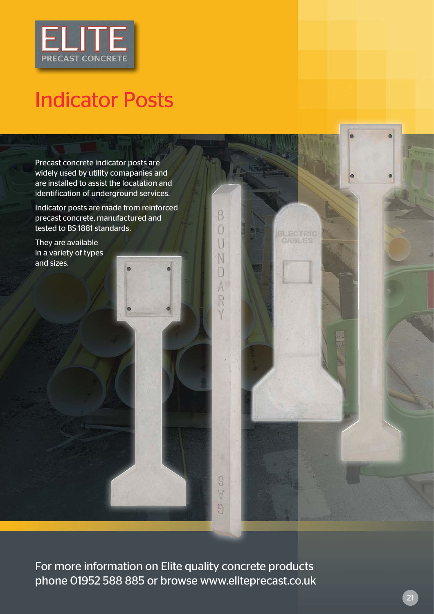

## Indicator Posts

Precast concrete indicator posts are widely used by utility comapanies and are installed to assist the locatation and identification of underground services.

Indicator posts are made from reinforced precast concrete, manufactured and tested to BS 1881 standards.

B n

S  $\forall$ 5 **ELECTRIC**<br>CABLES

They are available in a variety of types and sizes.

For more information on Elite quality concrete products phone 01952 588 885 or browse www.eliteprecast.co.uk